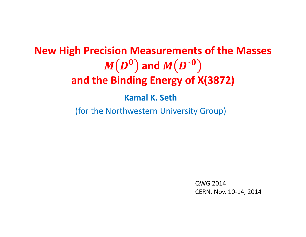## **New High Precision Measurements of the Masses**  $^{\mathbf{0}}$  ) and  $\bm{M}$  (  $\bm{D}^{*\bm{0}}$ **and the Binding Energy of X(3872)**

**Kamal K. Seth**

(for the Northwestern University Group)

QWG 2014 CERN, Nov. 10‐14, 2014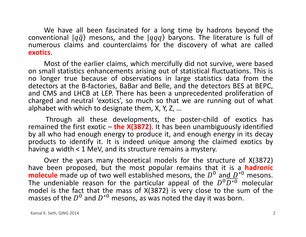We have all been fascinated for <sup>a</sup> long time by hadrons beyond the conventional  $|q\bar{q}\rangle$  mesons, and the  $|qqq\rangle$  baryons. The literature is full of numerous claims and counterclaims for the discovery of what are called **exotics**.

Most of the earlier claims, which mercifully did not survive, were based on small statistics enhancements arising out of statistical fluctuations. This is no longer true because of observations in large statistics data from the detectors at the B-factories, BaBar and Belle, and the detectors BES at BEPC, and CMS and LHCB at LEP. There has been <sup>a</sup> unprecedented proliferation of charged and neutral 'exotics', so much so that we are running out of what alphabet with which to designate them, X, Y, Z, …

Through all these developments, the poster ‐child of exotics has remained the first exotic – **the X(3872)**. It has been unambiguously identified by all who had enough energy to produce it, and enough energy in its decay products to identify it. It is indeed unique among the claimed exotics by having <sup>a</sup> width <sup>&</sup>lt; 1 MeV, and its structure remains <sup>a</sup> mystery.

Over the years many theoretical models for the structure of X(3872) have been proposed, but the most popular remains that it is <sup>a</sup> **hadronic molecule** made up of two well established mesons, the ܦ  $^0$  and  $D^{\ast}{}^0$  mesons. The undeniable reason for the particular appeal of the  $D$  ${}^{0}D*{}^{0}$  molecular model is the fact that the mass of X(3872) is very close to the sum of the masses of the  $D$  $^0$  and  $D^{*0}$  mesons, as was noted the day it was born.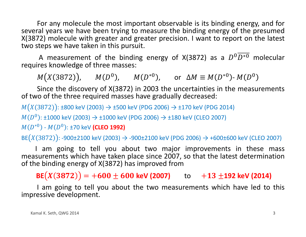For any molecule the most important observable is its binding energy, and for several years we have been trying to measure the binding energy of the presumed X(3872) molecule with greater and greater precision. I want to report on the latest two steps we have taken in this pursuit.

A measurement of the binding energy of X(3872) as a  $D$  ${}^{0}D^{*0}$  molecular requires knowledge of three masses:

 $M(X(3872)), \, M(D^0), \, M(D^{*0}), \, \text{or} \, \Delta M \equiv M(D^{*0}) - M(D^0)$ 0

Since the discovery of X(3872) in 2003 the uncertainties in the measurements of two of the three required masses have gradually decreased:

 $M(X(3872))$ : ±800 keV (2003)  $\rightarrow$  ±500 keV (PDG 2006)  $\rightarrow$  ±170 keV (PDG 2014)

 $M(D^{\,0})$ : ±1000 keV (2003)  $\rightarrow$  ±1000 keV (PDG 2006)  $\rightarrow$  ±180 keV (CLEO 2007)

ܯ ܯ ‐ ∗ܦ ܦ : ±70 keV **(CLEO 1992)**

BE(*X*(3872)): -900±2100 keV (2003) → -900±2100 keV (PDG 2006) → +600±600 keV (CLEO 2007)

I am going to tell you about two major improvements in these mass measurements which have taken place since 2007, so that the latest determination of the binding energy of X(3872) has improved from

 $\mathsf{BE}(X(3872)) = +600 \pm 600$  keV (2007) to  $\,\,\,\,+13 \pm$ 192 keV (2014)

I am going to tell you about the two measurements which have led to this impressive development.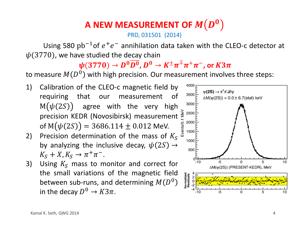### **A** NEW MEASUREMENT OF  $M(D^0)$

PRD, 031501 (2014)

Using 580 pb<sup>-1</sup> of  $e^+e^-$  annihilation data taken with the CLEO-c detector at  $\psi(3770)$ , we have studied the decay chain

 $\boldsymbol{\psi}(3770) \to \boldsymbol{D^0}\overline{\boldsymbol{D^0}}$  ,  $\boldsymbol{D^0} \to K^{\pm}\pi^{\mp}\pi^+\pi^-$  , or  $K3\pi$ 

to measure  $M(D^{\,0})$  with high precision. Our measurement involves three steps:

- 1) Calibration of the CLEO‐<sup>c</sup> magnetic field by requiring that our measurement of  $\mathbb{M}(\psi(2S))$  agree with the very high precision KEDR (Novosibirsk) measurement of  ${\rm M}(\psi(2S))=3686.114\pm 0.012$  MeV.
- 2) Precision determination of the mass of  $K_S$ by analyzing the inclusive decay,  $\psi(2S) \rightarrow$  $K_S + X, K_S \rightarrow \pi^+ \pi^-$ .
- 3) Using  $K_S$  mass to monitor and correct for the small variations of the magnetic field between sub-runs, and determining  $M(D^0)$ in the decay  $D^0 \to K3\pi$ .

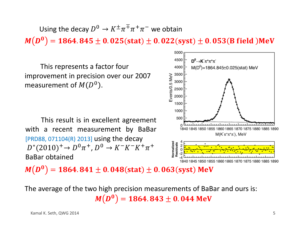Using the decay  $D^0 \to K^{\pm} \pi^{\mp} \pi^+ \pi^-$  we obtain

 $M(D^0) = 1864$ . 845  $\pm$  0. 025(stat)  $\pm$  0. 022(syst)  $\pm$  0. 053(B field )MeV

This represents <sup>a</sup> factor four improvement in precision over our 2007 measurement of  $M(D^0).$ 

This result is in excellent agreement with <sup>a</sup> recent measurement by BaBar [PRD88, 071104(R) 2013] using the decay  $D^*(2010)^+$   $\rightarrow$   $D^0\pi^+$ ,  $D^0 \rightarrow K^-K^-K^+\pi^+$ BaBar obtained



 $\bm{M}\bm{(D^0)} = \bm{1864.841 \pm 0.048}\mathrm{(stat)} \pm \bm{0.063}\mathrm{(syst)}$   $\bm{\text{MeV}}$ 

The average of the two high precision measurements of BaBar and ours is:  $\bm{M}(\bm{D^0}) = \bm{1864}.\bm{843} \pm \bm{0}.\bm{044} \ \bm{\text{MeV}}$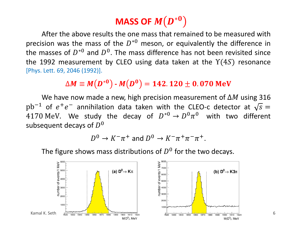# MASS OF  $M(\bm{D}^{*0})$

After the above results the one mass that remained to be measured withprecision was the mass of the  $D^{\ast 0}$  meson, or equivalently the difference in the masses of  $D^{\ast 0}$  and  $D^{\, 0}.$  The mass difference has not been revisited since the 1992 measurement by CLEO using data taken at the  $Y(4S)$  resonance [Phys. Lett. 69, 2046 (1992)].

> $\Delta \bm{M} \equiv \bm{M}(\bm{D}^{*\bm{0}})$  -  $\bm{M}(\bm{D}^{*\bm{0}})$  $\ket{0} = 142$ .  $120 \pm 0$ . 070 MeV

We have now made a new, high precision measurement of  $\Delta M$  using 316  ${\rm pb}^{-1}$  of  $e$  $^+e$  $^-$  annihilation data taken with the CLEO-c detector at  $\sqrt{s} =$  $4170$  MeV. We study the decay of  $D^{*0}\to D^0\pi$  $^{0}$  with two different subsequent decays of  $D$ 0

$$
D^0 \to K^- \pi^+ \text{ and } D^0 \to K^- \pi^+ \pi^- \pi^+.
$$

The figure shows mass distributions of  $D$  $^0$  for the two decays.



 $M(D^0)$ , MeV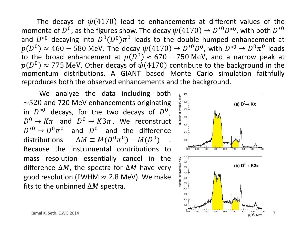The decays of  $\psi$ (4170) lead to enhancements at different values of the momenta of  $D^{\,0}$ , as the figures show. The decay  $\psi(4170)\rightarrow D^{\ast 0}D^{\ast 0}$ , with both  $D^{\ast 0}$ and  $D^{*0}$  decaying into  $D^{0}(D^{0})\pi^{0}$  leads to the double humped enhancement at  $p(D^0) \approx 460 - 580$  MeV. The decay  $\psi(4170) \rightarrow D^{*0} \overline{D^0}$ , with  $\overline{D^{*0}} \rightarrow D^0 \pi^0$  leads to the broad enhancement at  $p(D^0) \approx 670 - 750$  MeV, and a narrow peak at  $p(D^0) \approx 775$  MeV. Other decays of  $\psi$ (4170) contribute to the background in the momentum distributions. A GIANT based Monte Carlo simulation faithfully reproduces both the observed enhancements and the background.

We analyze the data including both  $\sim\!520$  and 720 MeV enhancements originating in  $D^{\ast \, 0}$  decays, for the two decays of  $D^{\, 0}$ ,  $D^0\to K\pi^-$  and  $D^0\to K3\pi$  . We reconstruct  $D^{*0}\to D^0\pi^0$  and  $D^0$  and the difference distributions  $\Delta M \equiv M(D^0 \pi^0) - M(D^0)$  . Because the instrumental contributions tomass resolution essentially cancel in the difference  $\Delta M$ , the spectra for  $\Delta M$  have very good resolution (FWHM  $\approx 2.8$  MeV). We make fits to the unbinned  $\Delta M$  spectra.

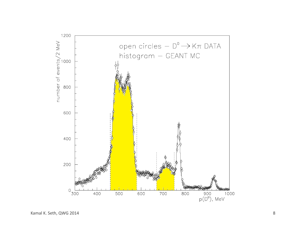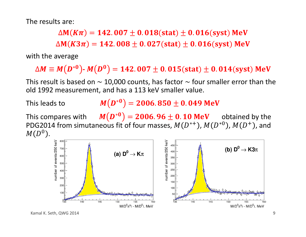The results are:

#### $\Delta {\bf M} (K\boldsymbol{\pi}) = {\bf 142.007 \pm 0.018 (stat) \pm 0.016 (syst)}$  MeV

#### $\Delta \mathsf{M}(K3\pi) = 142.008 \pm 0.027 \mathrm{(stat)} \pm 0.016 \mathrm{(syst)}$   $\mathsf{MeV}$

with the average

 $\Delta M \equiv M(D^{*0}) - M(D^{0}) = 142.007 \pm 0.015(stat) \pm 0.014(syst)$  MeV

This result is based on  $\sim$  10,000 counts, has factor  $\sim$  four smaller error than the old 1992 measurement, and has <sup>a</sup> 113 keV smaller value.

This leads to

#### $\bm{M}(\bm{D}^{*{\bf 0}}) = {\bf 2006.850 \pm 0.049~MeV}$

This compares with  $M(D^{*0}) = 2006.96 \pm 0.10 \text{ MeV}$  obtained by the <code>PDG2014</code> from simutaneous fit of four masses,  $M(D^{\ast \pm}),$   $M(D^{\ast \mathrm{0}}),$   $M(D^{\pm}),$  and  $M(D^0)$ .



Kamal K. Seth, QWG 2014 9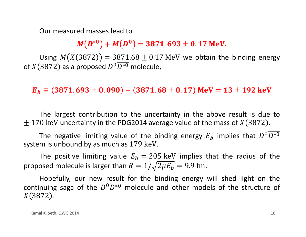Our measured masses lead to

 $M(D^{*0}) + M(D^{0}) = 3871.693 \pm 0.17$  MeV.

Using  $M(X(3872)) = 3871.68 \pm 0.17$  MeV we obtain the binding energy of  $X(3872)$  as a proposed  $D^{\, 0}D^{\ast \, 0}$  molecule,

 $\boldsymbol{E}_{\boldsymbol{b}} \equiv (3871.693 \pm 0.090) - (3871.68 \pm 0.17) \, \text{MeV} = 13 \pm 192 \, \text{keV}$ 

The largest contribution to the uncertainty in the above result is due to  $\pm$  170 keV uncertainty in the PDG2014 average value of the mass of  $X(3872)$ .

The negative limiting value of the binding energy  $E_b$  implies that  $D^0D^{\ast 0}$ system is unbound by as much as 179 keV.

The positive limiting value  $E_b = 205~\mathrm{keV}$  implies that the radius of the proposed molecule is larger than  $R = 1/\surd\,2\mu E_b = 9.9$  fm.

Hopefully, our new result for the binding energy will shed light on the continuing saga of the  $D^0\overline{D^{*0}}$  molecule and other models of the structure of *X*(3872).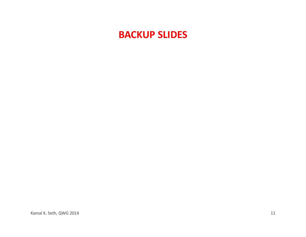### **BACKUP SLIDES**

Kamal K. Seth, QWG 2014 11 November 2014 11 November 2014 11 November 2014 11 November 2014 11 November 2014 1